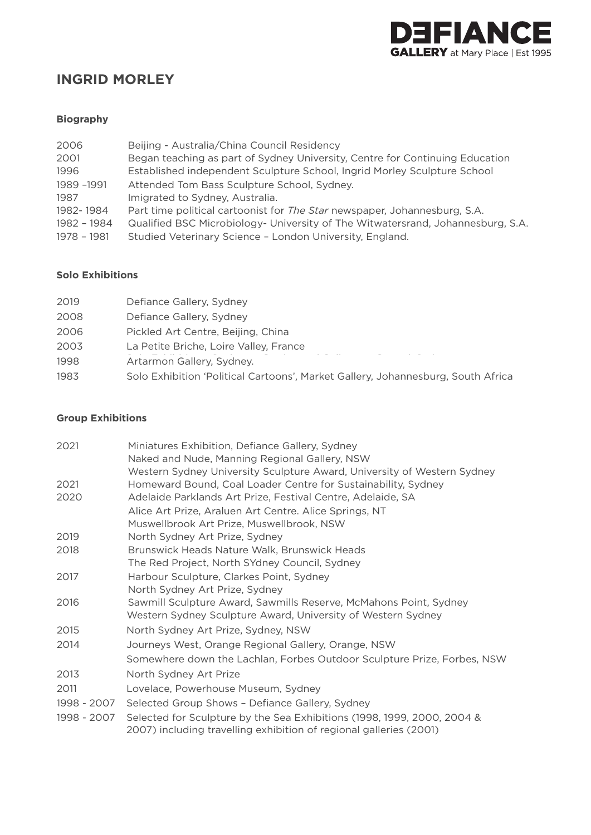

# **INGRID MORLEY**

# **Biography**

| Beijing - Australia/China Council Residency                                                                                                 |
|---------------------------------------------------------------------------------------------------------------------------------------------|
| Began teaching as part of Sydney University, Centre for Continuing Education                                                                |
| Established independent Sculpture School, Ingrid Morley Sculpture School                                                                    |
| Attended Tom Bass Sculpture School, Sydney.                                                                                                 |
| Imigrated to Sydney, Australia.                                                                                                             |
| Part time political cartoonist for The Star newspaper, Johannesburg, S.A.                                                                   |
| Qualified BSC Microbiology- University of The Witwatersrand, Johannesburg, S.A.<br>Studied Veterinary Science - London University, England. |
|                                                                                                                                             |

#### **Solo Exhibitions**

| 2019 | Defiance Gallery, Sydney                                                         |
|------|----------------------------------------------------------------------------------|
| 2008 | Defiance Gallery, Sydney                                                         |
| 2006 | Pickled Art Centre, Beijing, China                                               |
| 2003 | La Petite Briche, Loire Valley, France                                           |
| 1998 | Artarmon Gallery, Sydney.                                                        |
| 1983 | Solo Exhibition 'Political Cartoons', Market Gallery, Johannesburg, South Africa |
|      |                                                                                  |

#### **Group Exhibitions**

| 2021        | Miniatures Exhibition, Defiance Gallery, Sydney                                                                                               |
|-------------|-----------------------------------------------------------------------------------------------------------------------------------------------|
|             | Naked and Nude, Manning Regional Gallery, NSW                                                                                                 |
|             | Western Sydney University Sculpture Award, University of Western Sydney                                                                       |
| 2021        | Homeward Bound, Coal Loader Centre for Sustainability, Sydney                                                                                 |
| 2020        | Adelaide Parklands Art Prize, Festival Centre, Adelaide, SA                                                                                   |
|             | Alice Art Prize, Araluen Art Centre. Alice Springs, NT                                                                                        |
|             | Muswellbrook Art Prize, Muswellbrook, NSW                                                                                                     |
| 2019        | North Sydney Art Prize, Sydney                                                                                                                |
| 2018        | Brunswick Heads Nature Walk, Brunswick Heads                                                                                                  |
|             | The Red Project, North SYdney Council, Sydney                                                                                                 |
| 2017        | Harbour Sculpture, Clarkes Point, Sydney                                                                                                      |
|             | North Sydney Art Prize, Sydney                                                                                                                |
| 2016        | Sawmill Sculpture Award, Sawmills Reserve, McMahons Point, Sydney                                                                             |
|             | Western Sydney Sculpture Award, University of Western Sydney                                                                                  |
| 2015        | North Sydney Art Prize, Sydney, NSW                                                                                                           |
| 2014        | Journeys West, Orange Regional Gallery, Orange, NSW                                                                                           |
|             | Somewhere down the Lachlan, Forbes Outdoor Sculpture Prize, Forbes, NSW                                                                       |
| 2013        | North Sydney Art Prize                                                                                                                        |
| 2011        | Lovelace, Powerhouse Museum, Sydney                                                                                                           |
| 1998 - 2007 | Selected Group Shows - Defiance Gallery, Sydney                                                                                               |
| 1998 - 2007 | Selected for Sculpture by the Sea Exhibitions (1998, 1999, 2000, 2004 &<br>2007) including travelling exhibition of regional galleries (2001) |